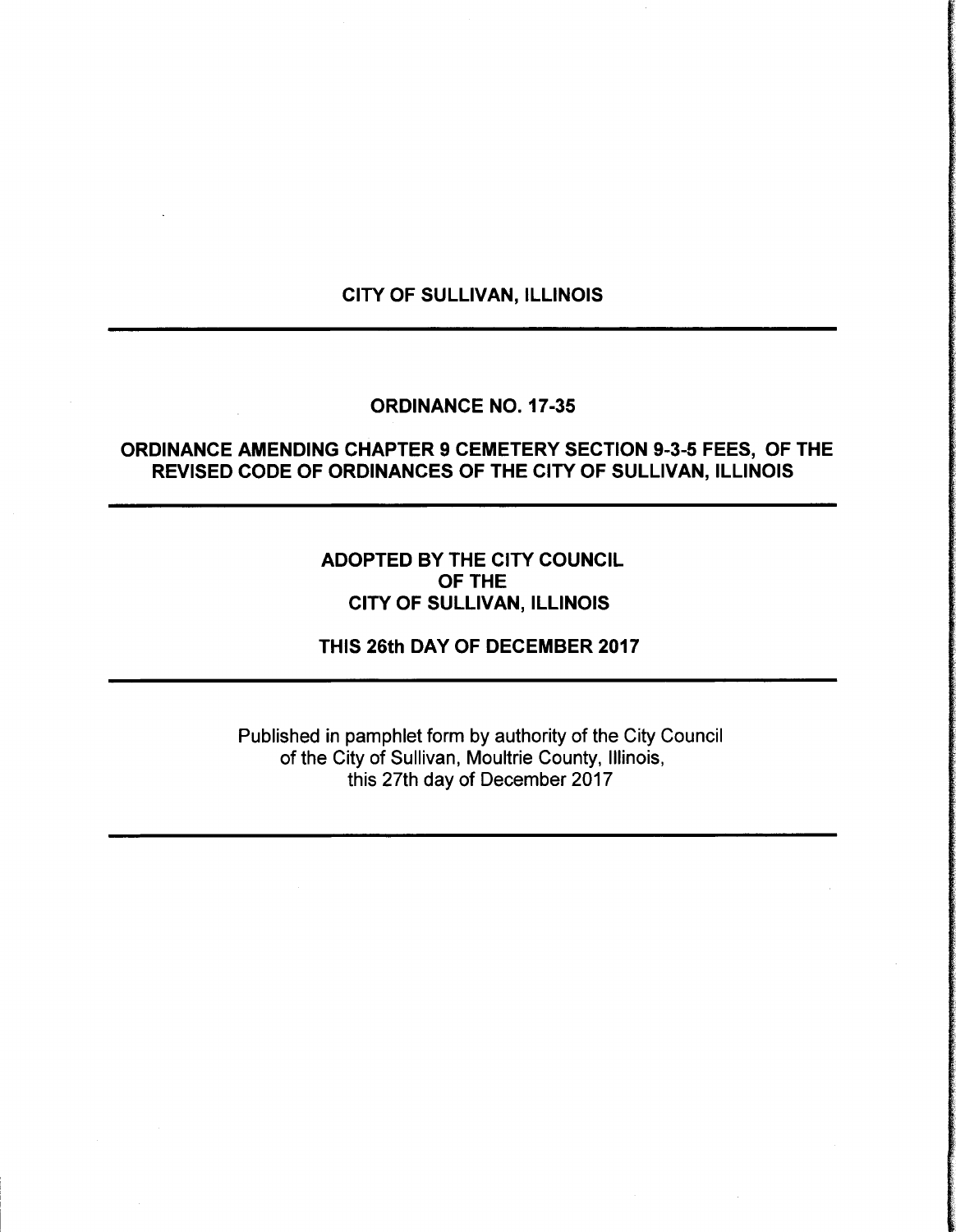#### CITY OF SULLIVAN, ILLINOIS

### ORDINANCE NO. 17-35

## ORDINANCE AMENDING CHAPTER 9 CEMETERY SECTION 9-3-5 FEES, OF THE REVISED CODE OF ORDINANCES OF THE CITY OF SULLIVAN, ILLINOIS

# ADOPTED BY THE CITY COUNCIL OF THE CITY OF SULLIVAN, ILLINOIS

THIS 26th DAY OF DECEMBER 2017

Published in pamphlet form by authority of the City Council of the City of Sullivan, Moultrie County, Illinois, this 27th day of December 2017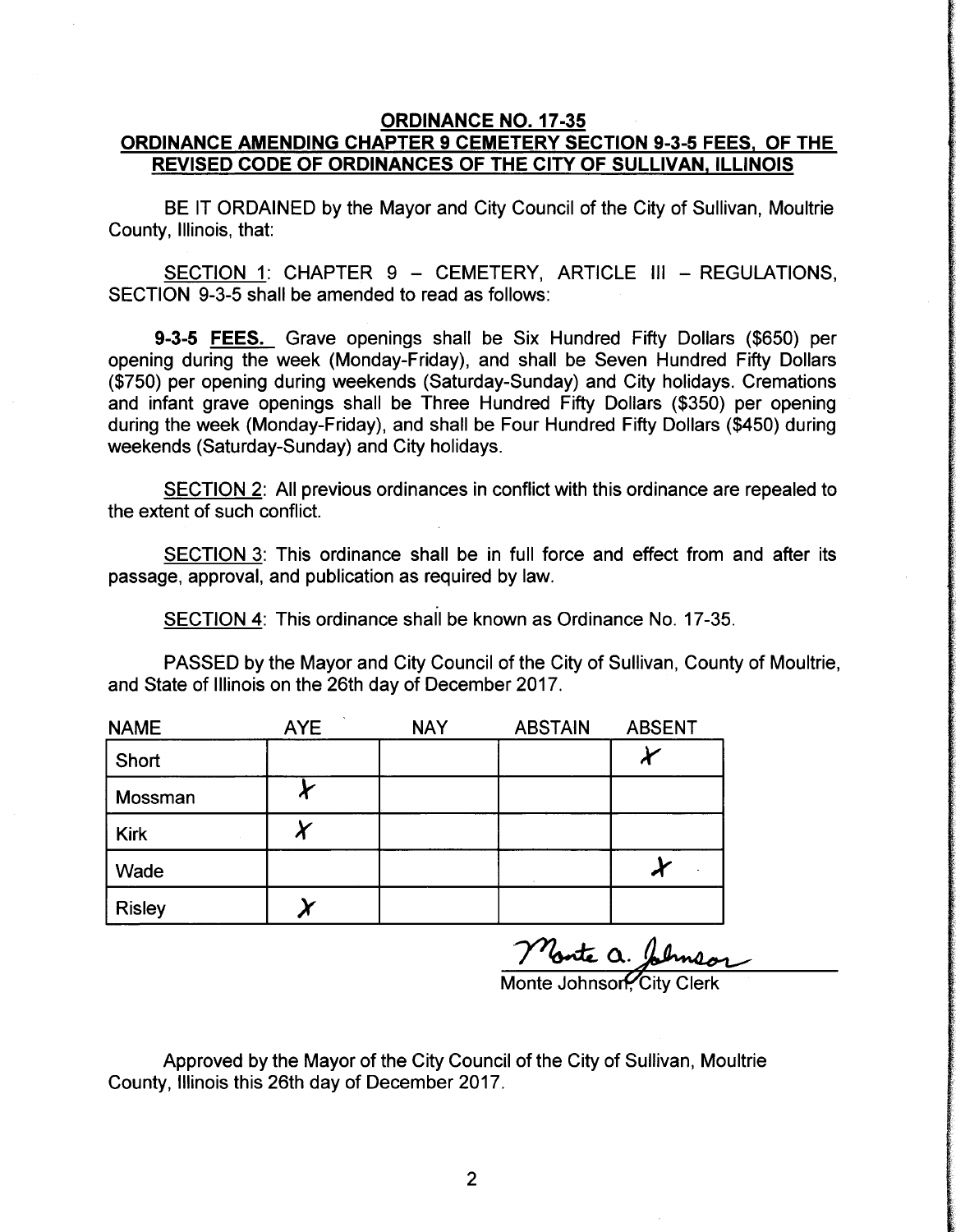### ORDINANCE NO. 17-35 ORDINANCE AMENDING CHAPTER 9 CEMETERY SECTION 9-3-5 FEES, OF THE REVISED CODE OF ORDINANCES OF THE CITY OF SULLIVAN, ILLINOIS

BE IT ORDAINED by the Mayor and City Council of the City of Sullivan, Moultrie County, Illinois, that:

SECTION 1: CHAPTER 9 — CEMETERY, ARTICLE III — REGULATIONS, SECTION 9-3-5 shall be amended to read as follows:

**9-3-5 FEES.** Grave openings shall be Six Hundred Fifty Dollars (\$650) per opening during the week (Monday-Friday), and shall be Seven Hundred Fifty Dollars 750) per opening during weekends ( Saturday-Sunday) and City holidays. Cremations and infant grave openings shall be Three Hundred Fifty Dollars (\$350) per opening during the week (Monday-Friday), and shall be Four Hundred Fifty Dollars (\$450) during weekends (Saturday-Sunday) and City holidays.

SECTION 2: All previous ordinances in conflict with this ordinance are repealed to the extent of such conflict.

SECTION 3: This ordinance shall be in full force and effect from and after its passage, approval, and publication as required by law.

SECTION 4: This ordinance shall be known as Ordinance No. 17-35.

PASSED by the Mayor and City Council of the City of Sullivan, County of Moultrie, and State of Illinois on the 26th day of December 2017.

| <b>NAME</b>   | <b>AYE</b> | <b>NAY</b> | <b>ABSTAIN</b> | <b>ABSENT</b> |
|---------------|------------|------------|----------------|---------------|
| Short         |            |            |                | л             |
| Mossman       |            |            |                |               |
| <b>Kirk</b>   |            |            |                |               |
| Wade          |            |            |                |               |
| <b>Risley</b> |            |            |                |               |

Nonte a. Johns

Monte Johnson, City Clerk

Approved by the Mayor of the City Council of the City of Sullivan, Moultrie County, Illinois this 26th day of December 2017.